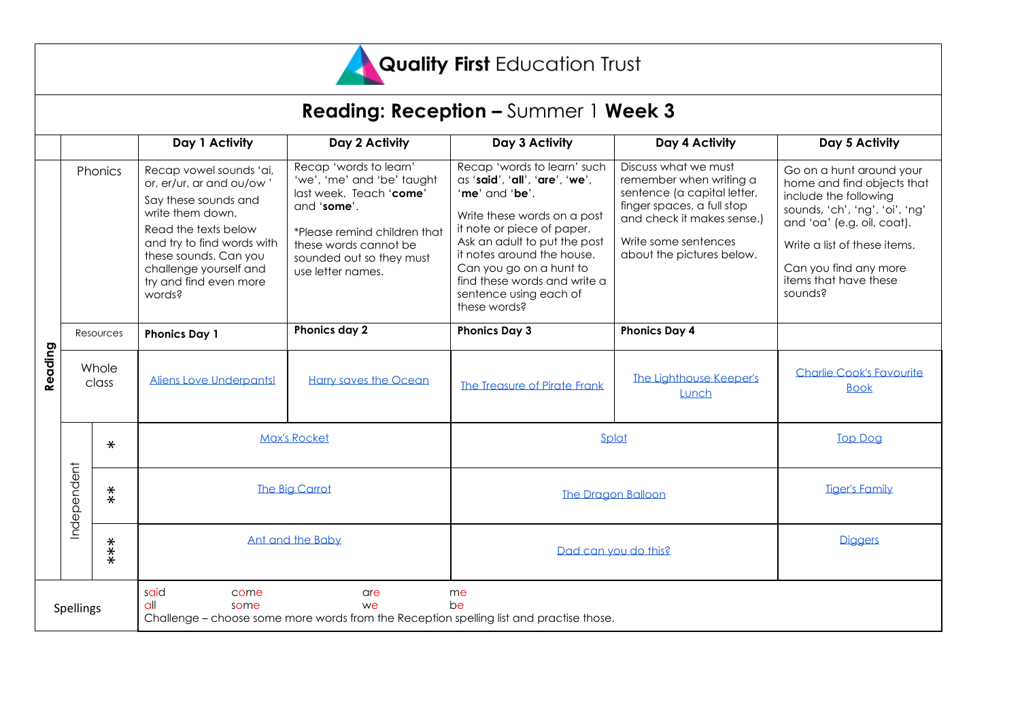

|           |                |                  |                                                                                                                                                                                                                                              |                                                                                                                                                                                                          | <b>Reading: Reception - Summer 1 Week 3</b>                                                                                                                                                                                                                                                                     |                                                                                                                                                                                                 |                                                                                                                                                                                                                                              |
|-----------|----------------|------------------|----------------------------------------------------------------------------------------------------------------------------------------------------------------------------------------------------------------------------------------------|----------------------------------------------------------------------------------------------------------------------------------------------------------------------------------------------------------|-----------------------------------------------------------------------------------------------------------------------------------------------------------------------------------------------------------------------------------------------------------------------------------------------------------------|-------------------------------------------------------------------------------------------------------------------------------------------------------------------------------------------------|----------------------------------------------------------------------------------------------------------------------------------------------------------------------------------------------------------------------------------------------|
|           |                |                  | Day 1 Activity                                                                                                                                                                                                                               | Day 2 Activity                                                                                                                                                                                           | Day 3 Activity                                                                                                                                                                                                                                                                                                  | Day 4 Activity                                                                                                                                                                                  | Day 5 Activity                                                                                                                                                                                                                               |
| Reading   | Phonics        |                  | Recap vowel sounds 'ai,<br>or, er/ur, ar and ou/ow'<br>Say these sounds and<br>write them down.<br>Read the texts below<br>and try to find words with<br>these sounds. Can you<br>challenge yourself and<br>try and find even more<br>words? | Recap 'words to learn'<br>'we', 'me' and 'be' taught<br>last week. Teach 'come'<br>and 'some'.<br>*Please remind children that<br>these words cannot be<br>sounded out so they must<br>use letter names. | Recap 'words to learn' such<br>as 'said', 'all', 'are', 'we',<br>'me' and 'be'.<br>Write these words on a post<br>it note or piece of paper.<br>Ask an adult to put the post<br>it notes around the house.<br>Can you go on a hunt to<br>find these words and write a<br>sentence using each of<br>these words? | Discuss what we must<br>remember when writing a<br>sentence (a capital letter,<br>finger spaces, a full stop<br>and check it makes sense.)<br>Write some sentences<br>about the pictures below. | Go on a hunt around your<br>home and find objects that<br>include the following<br>sounds, 'ch', 'ng', 'oi', 'ng'<br>and 'oa' (e.g. oil, coat).<br>Write a list of these items.<br>Can you find any more<br>items that have these<br>sounds? |
|           | Resources      |                  | <b>Phonics Day 1</b>                                                                                                                                                                                                                         | Phonics day 2                                                                                                                                                                                            | <b>Phonics Day 3</b>                                                                                                                                                                                                                                                                                            | <b>Phonics Day 4</b>                                                                                                                                                                            |                                                                                                                                                                                                                                              |
|           | Whole<br>class |                  | Aliens Love Underpants!                                                                                                                                                                                                                      | Harry saves the Ocean                                                                                                                                                                                    | The Treasure of Pirate Frank                                                                                                                                                                                                                                                                                    | The Lighthouse Keeper's<br>Lunch                                                                                                                                                                | <b>Charlie Cook's Favourite</b><br><b>Book</b>                                                                                                                                                                                               |
|           |                | $\ast$           | <b>Max's Rocket</b>                                                                                                                                                                                                                          |                                                                                                                                                                                                          | Splat                                                                                                                                                                                                                                                                                                           |                                                                                                                                                                                                 | <b>Top Dog</b>                                                                                                                                                                                                                               |
|           | Independent    | $\overset{*}{*}$ | <b>The Big Carrot</b>                                                                                                                                                                                                                        |                                                                                                                                                                                                          | <b>The Dragon Balloon</b>                                                                                                                                                                                                                                                                                       |                                                                                                                                                                                                 | <b>Tiger's Family</b>                                                                                                                                                                                                                        |
|           |                | ***              | Ant and the Baby                                                                                                                                                                                                                             |                                                                                                                                                                                                          | Dad can you do this?                                                                                                                                                                                                                                                                                            |                                                                                                                                                                                                 | <b>Diggers</b>                                                                                                                                                                                                                               |
| Spellings |                |                  | said<br>come<br>q<br>some                                                                                                                                                                                                                    | are<br>we                                                                                                                                                                                                | me<br>be                                                                                                                                                                                                                                                                                                        |                                                                                                                                                                                                 |                                                                                                                                                                                                                                              |

Challenge – choose some more words from the Reception spelling list and practise those.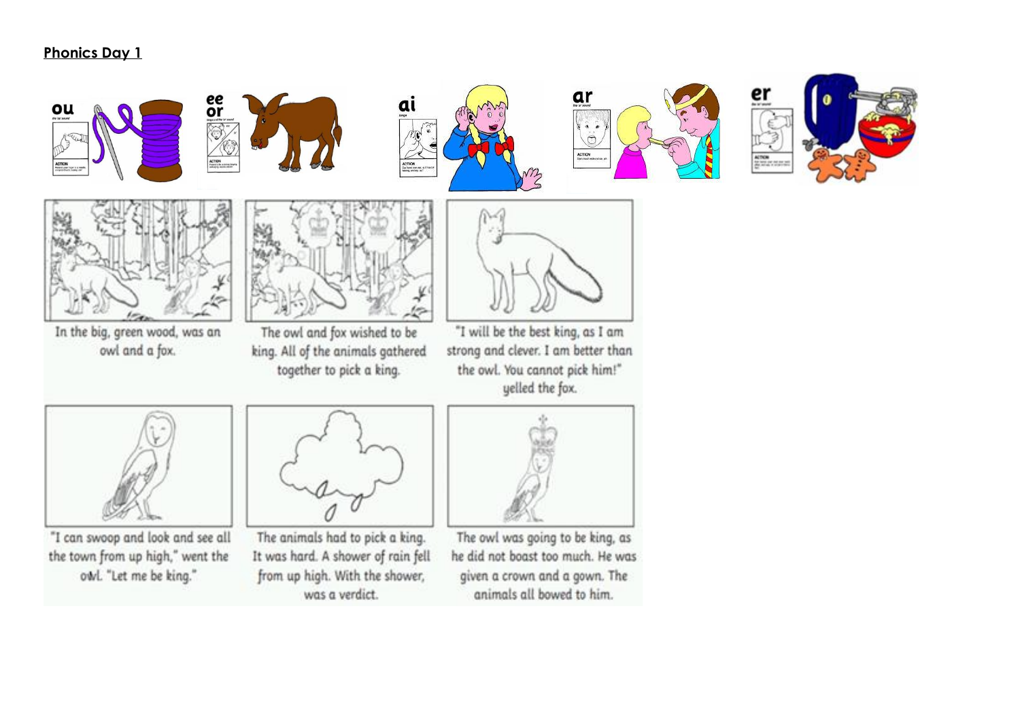## **Phonics Day 1**

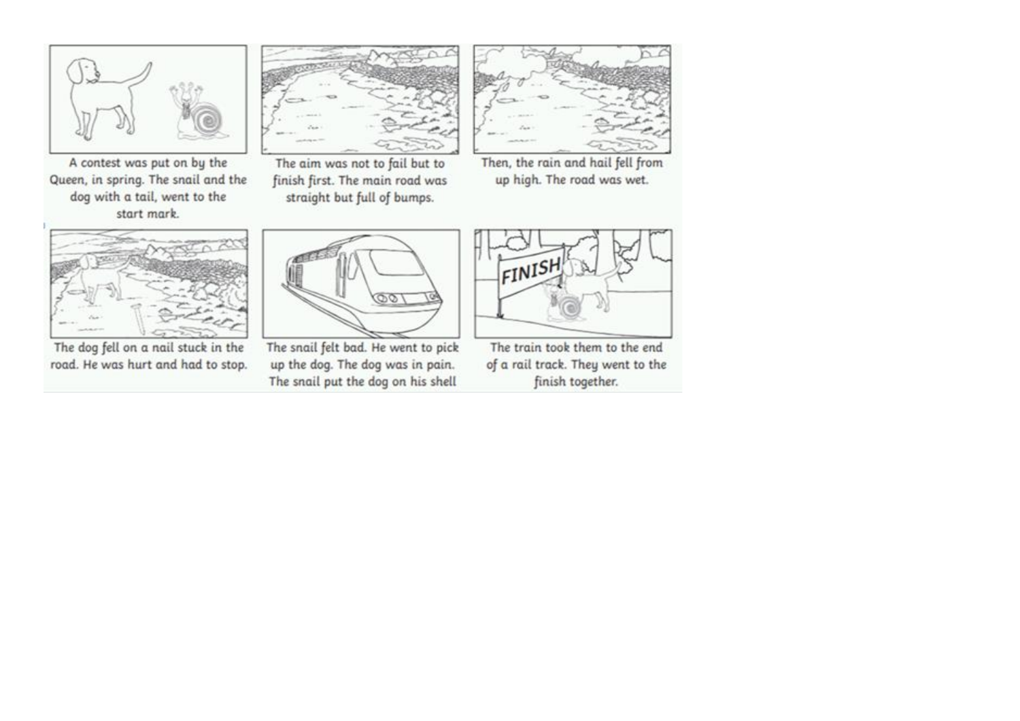

A contest was put on by the Queen, in spring. The snail and the dog with a tail, went to the start mark.



The aim was not to fail but to finish first. The main road was straight but full of bumps.



Then, the rain and hail fell from up high. The road was wet.



The dog fell on a nail stuck in the road. He was hurt and had to stop.



The snail felt bad. He went to pick up the dog. The dog was in pain. The snail put the dog on his shell



The train took them to the end of a rail track. They went to the finish together.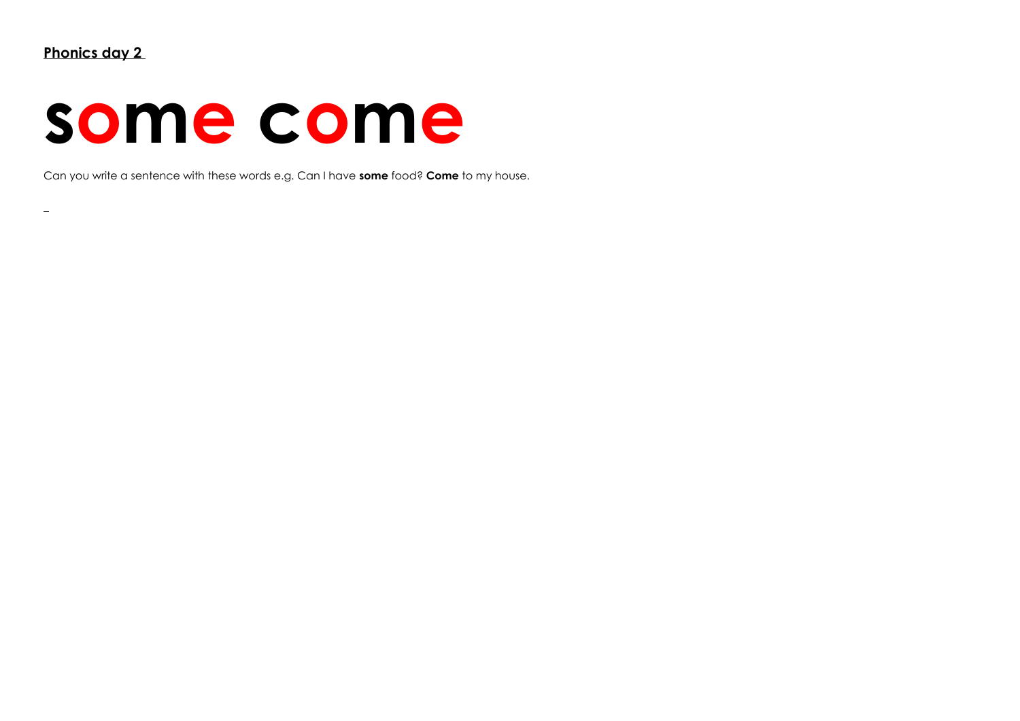$\equiv$ 

## **some come**

Can you write a sentence with these words e.g. Can I have **some** food? **Come** to my house.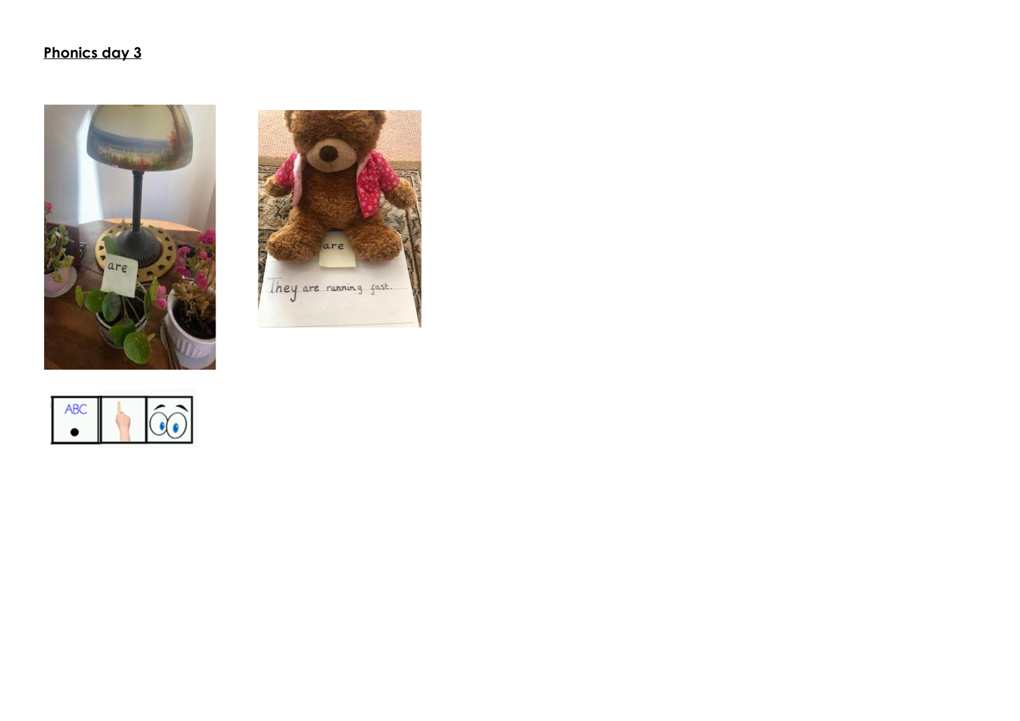## Phonics day 3